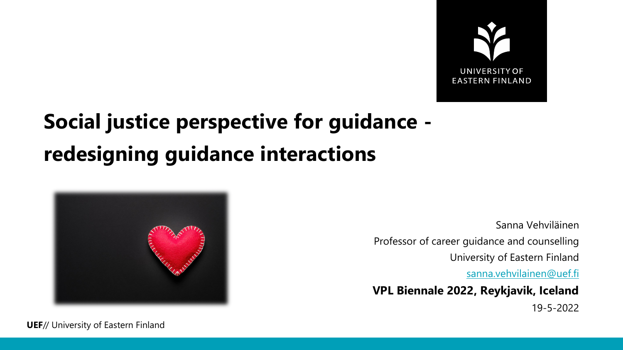

## **Social justice perspective for guidance redesigning guidance interactions**



Sanna Vehviläinen Professor of career guidance and counselling University of Eastern Finland

[sanna.vehvilainen@uef.fi](mailto:sanna.vehvilainen@uef.fi)

**VPL Biennale 2022, Reykjavik, Iceland**

19-5-2022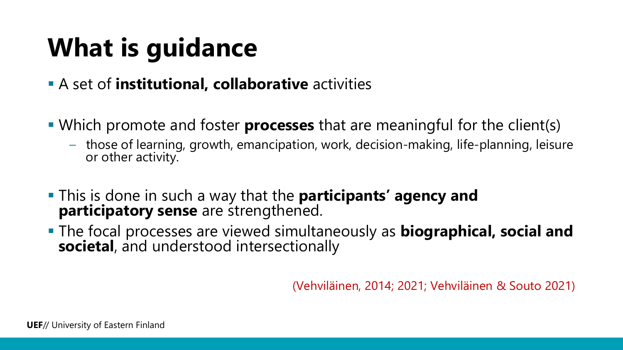# **What is guidance**

- A set of **institutional, collaborative** activities
- Which promote and foster **processes** that are meaningful for the client(s)
	- those of learning, growth, emancipation, work, decision-making, life-planning, leisure or other activity.
- This is done in such a way that the **participants' agency and participatory sense** are strengthened.
- The focal processes are viewed simultaneously as **biographical, social and societal**, and understood intersectionally

(Vehviläinen, 2014; 2021; Vehviläinen & Souto 2021)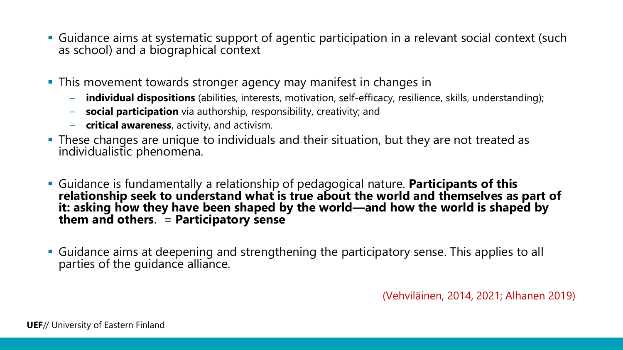- Guidance aims at systematic support of agentic participation in a relevant social context (such as school) and a biographical context
- **This movement towards stronger agency may manifest in changes in** 
	- **individual dispositions** (abilities, interests, motivation, self-efficacy, resilience, skills, understanding);
	- **social participation** via authorship, responsibility, creativity; and
	- **critical awareness**, activity, and activism.
- **These changes are unique to individuals and their situation, but they are not treated as** individualistic phenomena.
- Guidance is fundamentally a relationship of pedagogical nature. **Participants of this relationship seek to understand what is true about the world and themselves as part of it: asking how they have been shaped by the world—and how the world is shaped by them and others**. = **Participatory sense**
- Guidance aims at deepening and strengthening the participatory sense. This applies to all parties of the guidance alliance.

(Vehviläinen, 2014, 2021; Alhanen 2019)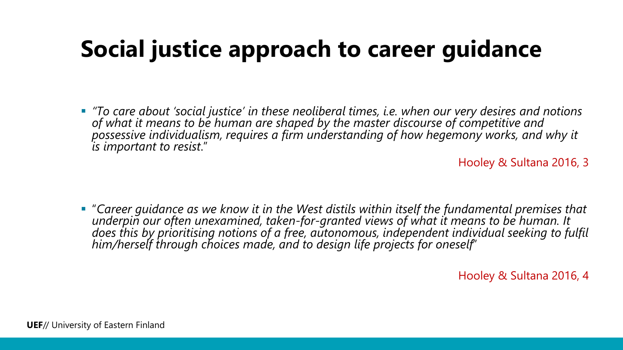## **Social justice approach to career guidance**

 *"To care about 'social justice' in these neoliberal times, i.e. when our very desires and notions of what it means to be human are shaped by the master discourse of competitive and possessive individualism, requires a firm understanding of how hegemony works, and why it is important to resist*."

Hooley & Sultana 2016, 3

 "*Career guidance as we know it in the West distils within itself the fundamental premises that*  does this by prioritising notions of a free, autonomous, independent individual seeking to fulfil<br>him/herself through choices made, and to design life projects for oneself'

Hooley & Sultana 2016, 4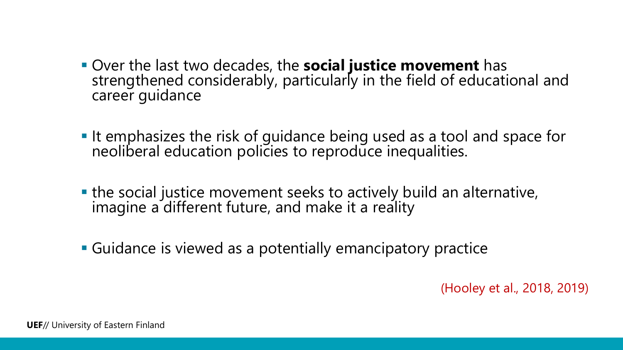- Over the last two decades, the **social justice movement** has strengthened considerably, particularly in the field of educational and career guidance
- It emphasizes the risk of guidance being used as a tool and space for neoliberal education policies to reproduce inequalities.
- the social justice movement seeks to actively build an alternative, imagine a different future, and make it a reality
- Guidance is viewed as a potentially emancipatory practice

(Hooley et al., 2018, 2019)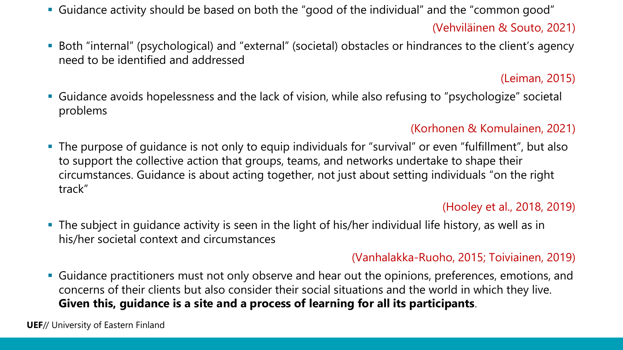Guidance activity should be based on both the "good of the individual" and the "common good"

### (Vehviläinen & Souto, 2021)

 Both "internal" (psychological) and "external" (societal) obstacles or hindrances to the client's agency need to be identified and addressed

### (Leiman, 2015)

 Guidance avoids hopelessness and the lack of vision, while also refusing to "psychologize" societal problems

### (Korhonen & Komulainen, 2021)

 The purpose of guidance is not only to equip individuals for "survival" or even "fulfillment", but also to support the collective action that groups, teams, and networks undertake to shape their circumstances. Guidance is about acting together, not just about setting individuals "on the right track"

### (Hooley et al., 2018, 2019)

 The subject in guidance activity is seen in the light of his/her individual life history, as well as in his/her societal context and circumstances

#### (Vanhalakka-Ruoho, 2015; Toiviainen, 2019)

 Guidance practitioners must not only observe and hear out the opinions, preferences, emotions, and concerns of their clients but also consider their social situations and the world in which they live. **Given this, guidance is a site and a process of learning for all its participants**.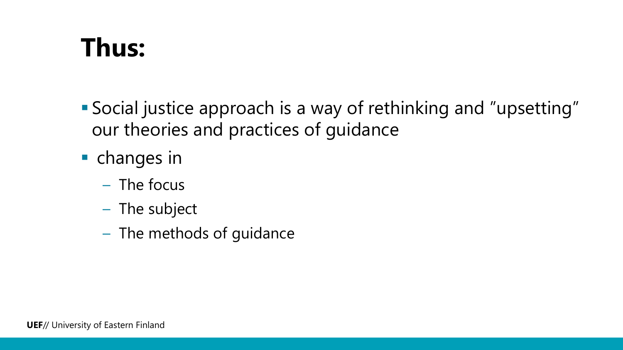# **Thus:**

- Social justice approach is a way of rethinking and "upsetting" our theories and practices of guidance
- **•** changes in
	- The focus
	- The subject
	- The methods of guidance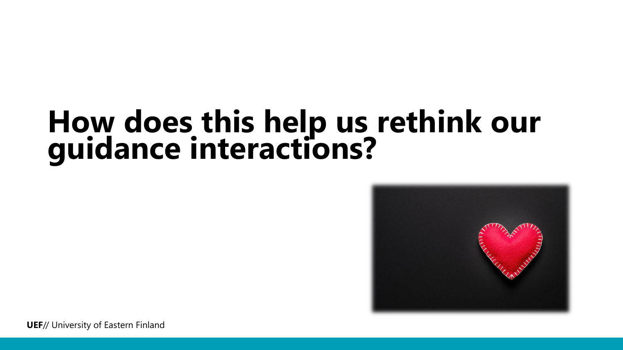# **How does this help us rethink our guidance interactions?**

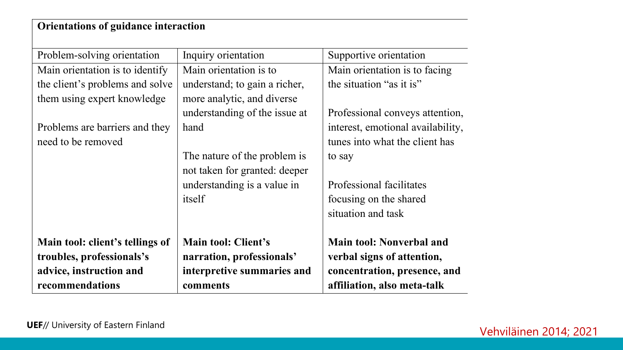### **Orientations of guidance interaction**

| Problem-solving orientation     | Inquiry orientation           | Supportive orientation            |
|---------------------------------|-------------------------------|-----------------------------------|
| Main orientation is to identify | Main orientation is to        | Main orientation is to facing     |
| the client's problems and solve | understand; to gain a richer, | the situation "as it is"          |
| them using expert knowledge     | more analytic, and diverse    |                                   |
|                                 | understanding of the issue at | Professional conveys attention,   |
| Problems are barriers and they  | hand                          | interest, emotional availability, |
| need to be removed              |                               | tunes into what the client has    |
|                                 | The nature of the problem is  | to say                            |
|                                 | not taken for granted: deeper |                                   |
|                                 | understanding is a value in   | Professional facilitates          |
|                                 | itself                        | focusing on the shared            |
|                                 |                               | situation and task                |
|                                 |                               |                                   |
| Main tool: client's tellings of | <b>Main tool: Client's</b>    | <b>Main tool: Nonverbal and</b>   |
| troubles, professionals's       | narration, professionals'     | verbal signs of attention,        |
| advice, instruction and         | interpretive summaries and    | concentration, presence, and      |
| recommendations                 | comments                      | affiliation, also meta-talk       |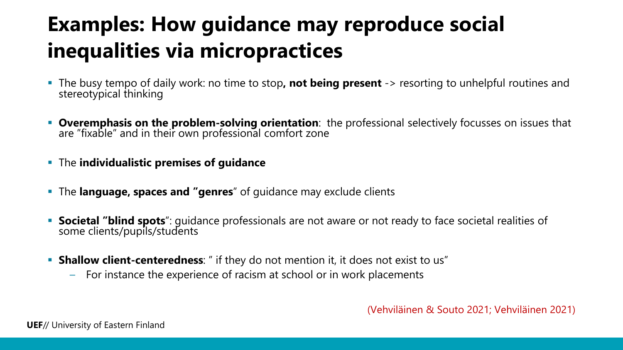## **Examples: How guidance may reproduce social inequalities via micropractices**

- The busy tempo of daily work: no time to stop**, not being present** -> resorting to unhelpful routines and stereotypical thinking
- **Overemphasis on the problem-solving orientation**: the professional selectively focusses on issues that are "fixable" and in their own professional comfort zone
- The **individualistic premises of guidance**
- The **language, spaces and "genres**" of guidance may exclude clients
- **Societal "blind spots**": guidance professionals are not aware or not ready to face societal realities of some clients/pupils/students
- **Shallow client-centeredness**: " if they do not mention it, it does not exist to us"
	- For instance the experience of racism at school or in work placements

(Vehviläinen & Souto 2021; Vehviläinen 2021)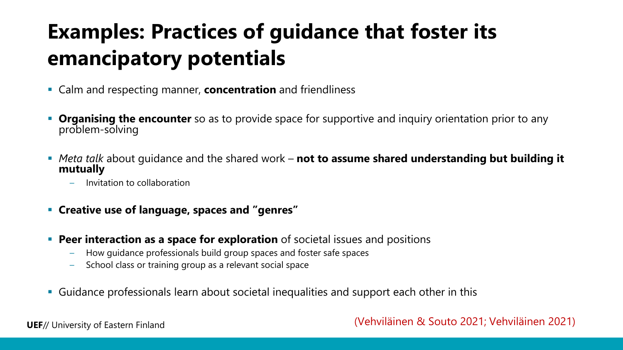## **Examples: Practices of guidance that foster its emancipatory potentials**

- Calm and respecting manner, **concentration** and friendliness
- **Organising the encounter** so as to provide space for supportive and inquiry orientation prior to any problem-solving
- *Meta talk* about guidance and the shared work **not to assume shared understanding but building it mutually**
	- Invitation to collaboration
- **Creative use of language, spaces and "genres"**
- **Peer interaction as a space for exploration** of societal issues and positions
	- How guidance professionals build group spaces and foster safe spaces
	- School class or training group as a relevant social space
- Guidance professionals learn about societal inequalities and support each other in this

#### (Vehviläinen & Souto 2021; Vehviläinen 2021)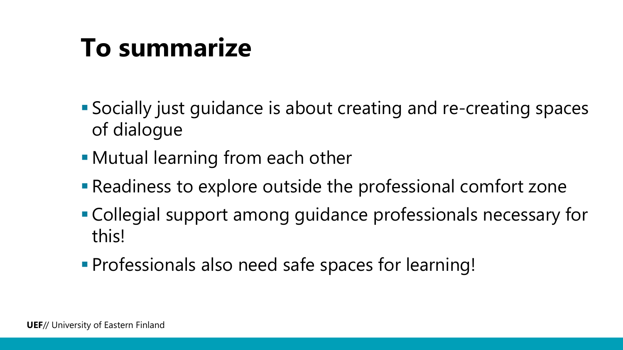# **To summarize**

- Socially just guidance is about creating and re-creating spaces of dialogue
- Mutual learning from each other
- Readiness to explore outside the professional comfort zone
- Collegial support among guidance professionals necessary for this!
- Professionals also need safe spaces for learning!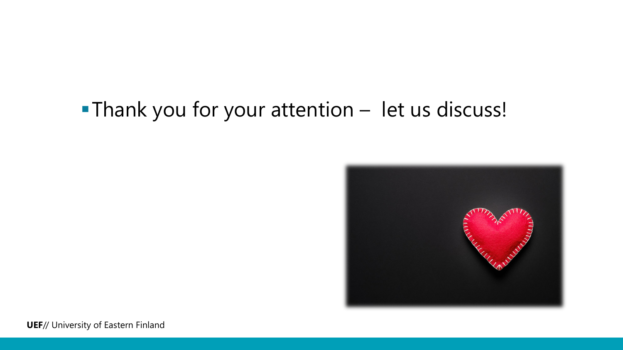### Thank you for your attention – let us discuss!